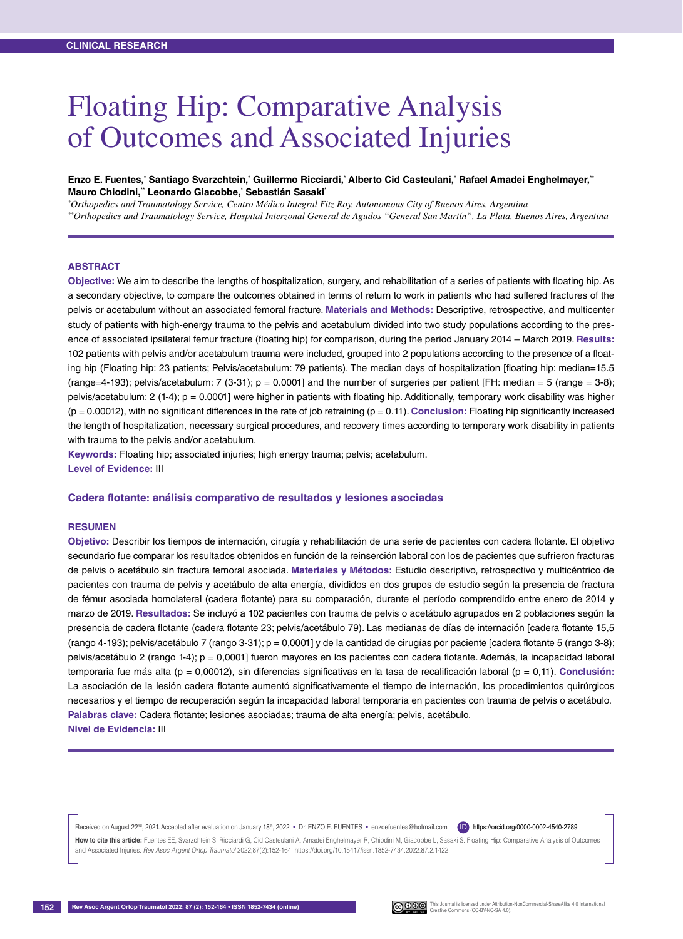# Floating Hip: Comparative Analysis of Outcomes and Associated Injuries

#### Enzo E. Fuentes,<sup>·</sup> Santiago Svarzchtein,<sup>·</sup> Guillermo Ricciardi,<sup>·</sup> Alberto Cid Casteulani,<sup>·</sup> Rafael Amadei Enghelmayer,<sup>·</sup> **Mauro Chiodini,\*\* Leonardo Giacobbe,\* Sebastián Sasaki\***

*\* Orthopedics and Traumatology Service, Centro Médico Integral Fitz Roy, Autonomous City of Buenos Aires, Argentina \*\*Orthopedics and Traumatology Service, Hospital Interzonal General de Agudos "General San Martín", La Plata, Buenos Aires, Argentina*

### **ABSTRACT**

**Objective:** We aim to describe the lengths of hospitalization, surgery, and rehabilitation of a series of patients with floating hip. As a secondary objective, to compare the outcomes obtained in terms of return to work in patients who had suffered fractures of the pelvis or acetabulum without an associated femoral fracture. **Materials and Methods:** Descriptive, retrospective, and multicenter study of patients with high-energy trauma to the pelvis and acetabulum divided into two study populations according to the presence of associated ipsilateral femur fracture (floating hip) for comparison, during the period January 2014 – March 2019. **Results:**  102 patients with pelvis and/or acetabulum trauma were included, grouped into 2 populations according to the presence of a floating hip (Floating hip: 23 patients; Pelvis/acetabulum: 79 patients). The median days of hospitalization [floating hip: median=15.5 (range=4-193); pelvis/acetabulum: 7 (3-31);  $p = 0.0001$ ] and the number of surgeries per patient [FH: median = 5 (range = 3-8); pelvis/acetabulum: 2 (1-4); p = 0.0001] were higher in patients with floating hip. Additionally, temporary work disability was higher (p = 0.00012), with no significant differences in the rate of job retraining (p = 0.11). **Conclusion:** Floating hip significantly increased the length of hospitalization, necessary surgical procedures, and recovery times according to temporary work disability in patients with trauma to the pelvis and/or acetabulum.

**Keywords:** Floating hip; associated injuries; high energy trauma; pelvis; acetabulum. **Level of Evidence:** III

#### **Cadera flotante: análisis comparativo de resultados y lesiones asociadas**

#### **RESUMEN**

**Objetivo:** Describir los tiempos de internación, cirugía y rehabilitación de una serie de pacientes con cadera flotante. El objetivo secundario fue comparar los resultados obtenidos en función de la reinserción laboral con los de pacientes que sufrieron fracturas de pelvis o acetábulo sin fractura femoral asociada. **Materiales y Métodos:** Estudio descriptivo, retrospectivo y multicéntrico de pacientes con trauma de pelvis y acetábulo de alta energía, divididos en dos grupos de estudio según la presencia de fractura de fémur asociada homolateral (cadera flotante) para su comparación, durante el período comprendido entre enero de 2014 y marzo de 2019. **Resultados:** Se incluyó a 102 pacientes con trauma de pelvis o acetábulo agrupados en 2 poblaciones según la presencia de cadera flotante (cadera flotante 23; pelvis/acetábulo 79). Las medianas de días de internación [cadera flotante 15,5 (rango 4-193); pelvis/acetábulo 7 (rango 3-31); p = 0,0001] y de la cantidad de cirugías por paciente [cadera flotante 5 (rango 3-8); pelvis/acetábulo 2 (rango 1-4); p = 0,0001] fueron mayores en los pacientes con cadera flotante. Además, la incapacidad laboral temporaria fue más alta (p = 0,00012), sin diferencias significativas en la tasa de recalificación laboral (p = 0,11). **Conclusión:**  La asociación de la lesión cadera flotante aumentó significativamente el tiempo de internación, los procedimientos quirúrgicos necesarios y el tiempo de recuperación según la incapacidad laboral temporaria en pacientes con trauma de pelvis o acetábulo. **Palabras clave:** Cadera flotante; lesiones asociadas; trauma de alta energía; pelvis, acetábulo. **Nivel de Evidencia:** III

Received on August 22<sup>nd</sup>, 2021. Accepted after evaluation on January 18<sup>th</sup>, 2022 • Dr. ENZO E. FUENTES • enzoefuentes@hotmail.com (ID) https://orcid.org/0000-0002-4540-2789

How to cite this article: Fuentes EE, Svarzchtein S, Ricciardi G, Cid Casteulani A, Amadei Enghelmayer R, Chiodini M, Giacobbe L, Sasaki S. Floating Hip: Comparative Analysis of Outcomes and Associated Injuries. *Rev Asoc Argent Ortop Traumatol* 2022;87(2):152-164. https://doi.org/10.15417/issn.1852-7434.2022.87.2.1422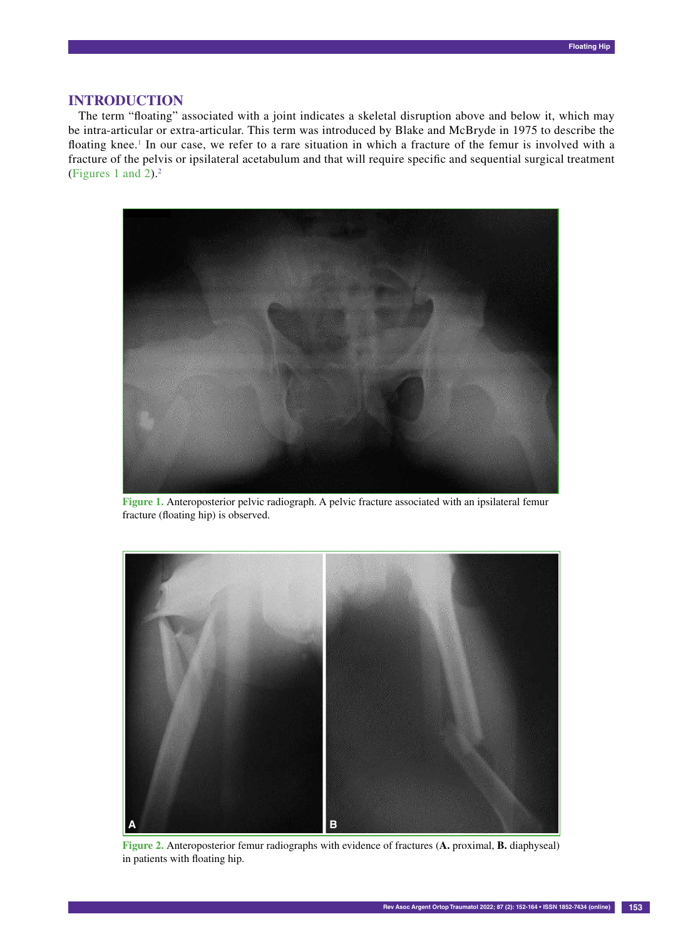# **INTRODUCTION**

The term "floating" associated with a joint indicates a skeletal disruption above and below it, which may be intra-articular or extra-articular. This term was introduced by Blake and McBryde in 1975 to describe the floating knee.<sup>1</sup> In our case, we refer to a rare situation in which a fracture of the femur is involved with a fracture of the pelvis or ipsilateral acetabulum and that will require specific and sequential surgical treatment (Figures 1 and 2).2



**Figure 1.** Anteroposterior pelvic radiograph. A pelvic fracture associated with an ipsilateral femur fracture (floating hip) is observed.



**Figure 2.** Anteroposterior femur radiographs with evidence of fractures (**A.** proximal, **B.** diaphyseal) in patients with floating hip.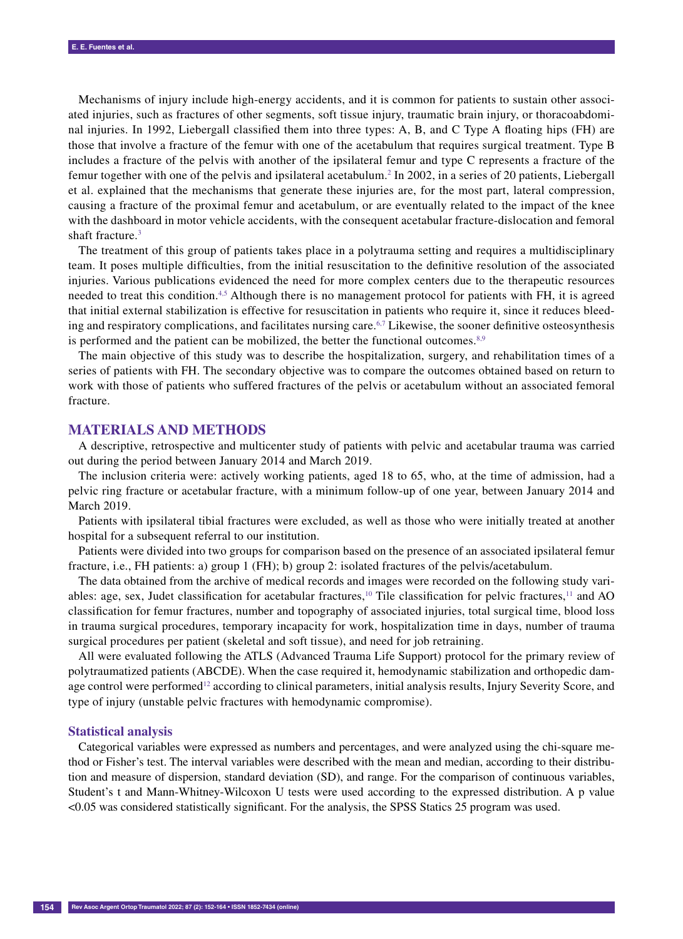Mechanisms of injury include high-energy accidents, and it is common for patients to sustain other associated injuries, such as fractures of other segments, soft tissue injury, traumatic brain injury, or thoracoabdominal injuries. In 1992, Liebergall classified them into three types: A, B, and C Type A floating hips (FH) are those that involve a fracture of the femur with one of the acetabulum that requires surgical treatment. Type B includes a fracture of the pelvis with another of the ipsilateral femur and type C represents a fracture of the femur together with one of the pelvis and ipsilateral acetabulum.2 In 2002, in a series of 20 patients, Liebergall et al. explained that the mechanisms that generate these injuries are, for the most part, lateral compression, causing a fracture of the proximal femur and acetabulum, or are eventually related to the impact of the knee with the dashboard in motor vehicle accidents, with the consequent acetabular fracture-dislocation and femoral shaft fracture.<sup>3</sup>

The treatment of this group of patients takes place in a polytrauma setting and requires a multidisciplinary team. It poses multiple difficulties, from the initial resuscitation to the definitive resolution of the associated injuries. Various publications evidenced the need for more complex centers due to the therapeutic resources needed to treat this condition.<sup>4,5</sup> Although there is no management protocol for patients with FH, it is agreed that initial external stabilization is effective for resuscitation in patients who require it, since it reduces bleeding and respiratory complications, and facilitates nursing care.<sup>6,7</sup> Likewise, the sooner definitive osteosynthesis is performed and the patient can be mobilized, the better the functional outcomes. $8.9$ 

The main objective of this study was to describe the hospitalization, surgery, and rehabilitation times of a series of patients with FH. The secondary objective was to compare the outcomes obtained based on return to work with those of patients who suffered fractures of the pelvis or acetabulum without an associated femoral fracture.

## **MATERIALS AND METHODS**

A descriptive, retrospective and multicenter study of patients with pelvic and acetabular trauma was carried out during the period between January 2014 and March 2019.

The inclusion criteria were: actively working patients, aged 18 to 65, who, at the time of admission, had a pelvic ring fracture or acetabular fracture, with a minimum follow-up of one year, between January 2014 and March 2019.

Patients with ipsilateral tibial fractures were excluded, as well as those who were initially treated at another hospital for a subsequent referral to our institution.

Patients were divided into two groups for comparison based on the presence of an associated ipsilateral femur fracture, i.e., FH patients: a) group 1 (FH); b) group 2: isolated fractures of the pelvis/acetabulum.

The data obtained from the archive of medical records and images were recorded on the following study variables: age, sex, Judet classification for acetabular fractures,<sup>10</sup> Tile classification for pelvic fractures,<sup>11</sup> and AO classification for femur fractures, number and topography of associated injuries, total surgical time, blood loss in trauma surgical procedures, temporary incapacity for work, hospitalization time in days, number of trauma surgical procedures per patient (skeletal and soft tissue), and need for job retraining.

All were evaluated following the ATLS (Advanced Trauma Life Support) protocol for the primary review of polytraumatized patients (ABCDE). When the case required it, hemodynamic stabilization and orthopedic damage control were performed<sup>12</sup> according to clinical parameters, initial analysis results, Injury Severity Score, and type of injury (unstable pelvic fractures with hemodynamic compromise).

#### **Statistical analysis**

Categorical variables were expressed as numbers and percentages, and were analyzed using the chi-square method or Fisher's test. The interval variables were described with the mean and median, according to their distribution and measure of dispersion, standard deviation (SD), and range. For the comparison of continuous variables, Student's t and Mann-Whitney-Wilcoxon U tests were used according to the expressed distribution. A p value <0.05 was considered statistically significant. For the analysis, the SPSS Statics 25 program was used.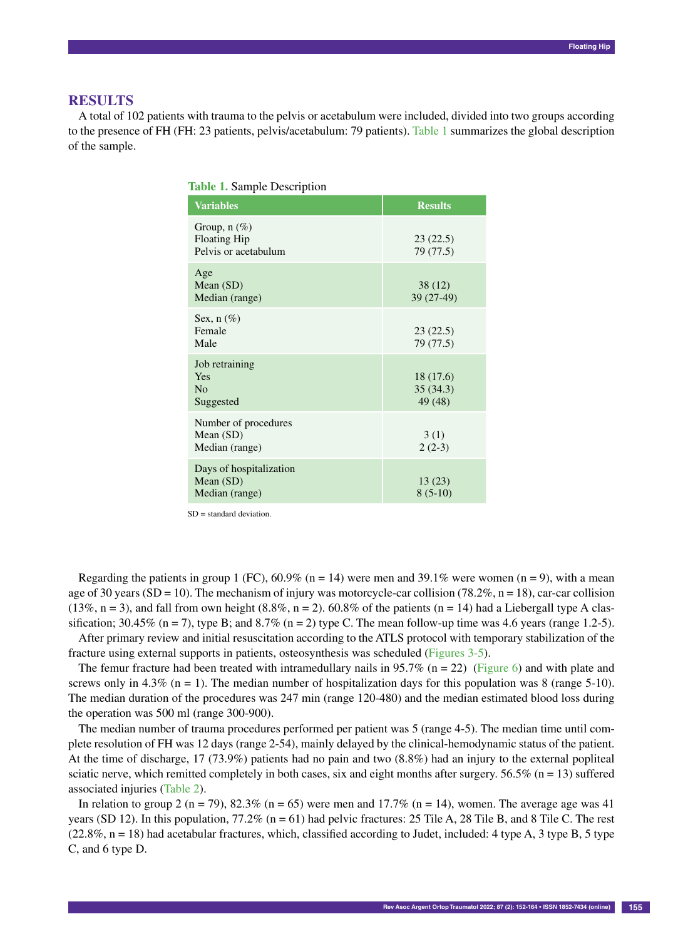# **RESULTS**

A total of 102 patients with trauma to the pelvis or acetabulum were included, divided into two groups according to the presence of FH (FH: 23 patients, pelvis/acetabulum: 79 patients). Table 1 summarizes the global description of the sample.

| <b>Variables</b>                                                 | <b>Results</b>                   |
|------------------------------------------------------------------|----------------------------------|
| Group, $n$ $(\%)$<br><b>Floating Hip</b><br>Pelvis or acetabulum | 23(22.5)<br>79 (77.5)            |
| Age<br>Mean $(SD)$<br>Median (range)                             | 38 (12)<br>$39(27-49)$           |
| Sex, $n$ (%)<br>Female<br>Male                                   | 23(22.5)<br>79 (77.5)            |
| Job retraining<br>Yes<br>N <sub>0</sub><br>Suggested             | 18 (17.6)<br>35(34.3)<br>49 (48) |
| Number of procedures<br>Mean $(SD)$<br>Median (range)            | 3(1)<br>$2(2-3)$                 |
| Days of hospitalization<br>Mean $(SD)$<br>Median (range)         | 13(23)<br>$8(5-10)$              |

SD = standard deviation.

Regarding the patients in group 1 (FC),  $60.9\%$  (n = 14) were men and 39.1% were women (n = 9), with a mean age of 30 years (SD = 10). The mechanism of injury was motorcycle-car collision (78.2%,  $n = 18$ ), car-car collision  $(13\%, n = 3)$ , and fall from own height  $(8.8\%, n = 2)$ . 60.8% of the patients  $(n = 14)$  had a Liebergall type A classification; 30.45% (n = 7), type B; and 8.7% (n = 2) type C. The mean follow-up time was 4.6 years (range 1.2-5).

After primary review and initial resuscitation according to the ATLS protocol with temporary stabilization of the fracture using external supports in patients, osteosynthesis was scheduled (Figures 3-5).

The femur fracture had been treated with intramedullary nails in  $95.7\%$  (n = 22) (Figure 6) and with plate and screws only in 4.3% ( $n = 1$ ). The median number of hospitalization days for this population was 8 (range 5-10). The median duration of the procedures was 247 min (range 120-480) and the median estimated blood loss during the operation was 500 ml (range 300-900).

The median number of trauma procedures performed per patient was 5 (range 4-5). The median time until complete resolution of FH was 12 days (range 2-54), mainly delayed by the clinical-hemodynamic status of the patient. At the time of discharge, 17 (73.9%) patients had no pain and two (8.8%) had an injury to the external popliteal sciatic nerve, which remitted completely in both cases, six and eight months after surgery.  $56.5\%$  (n = 13) suffered associated injuries (Table 2).

In relation to group 2 (n = 79),  $82.3\%$  (n = 65) were men and 17.7% (n = 14), women. The average age was 41 years (SD 12). In this population,  $77.2\%$  (n = 61) had pelvic fractures: 25 Tile A, 28 Tile B, and 8 Tile C. The rest  $(22.8\%, n = 18)$  had acetabular fractures, which, classified according to Judet, included: 4 type A, 3 type B, 5 type C, and 6 type D.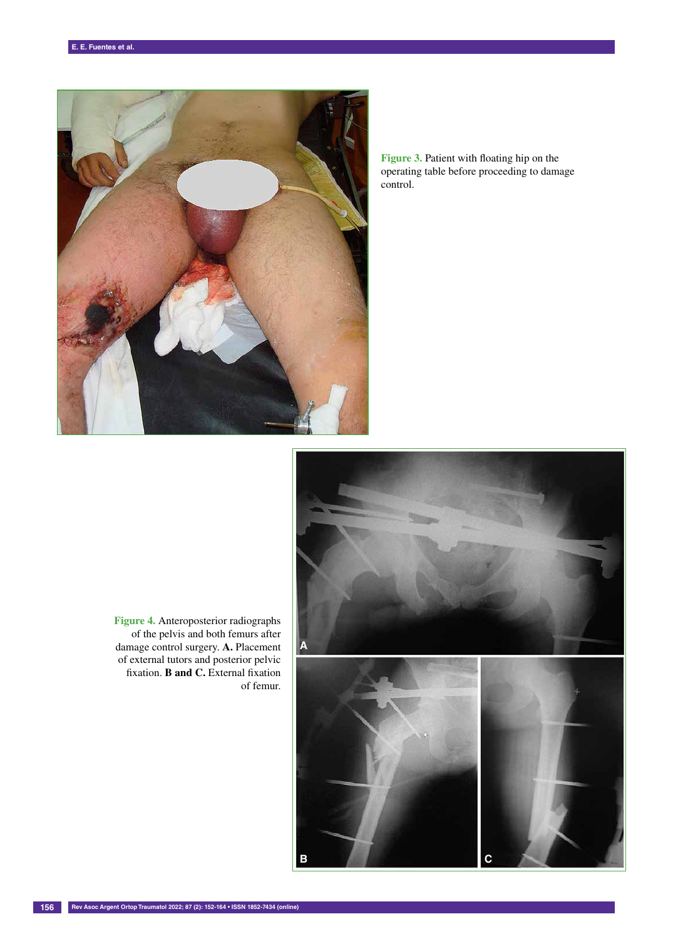

Figure 3. Patient with floating hip on the operating table before proceeding to damage control.



**Figure 4.** Anteroposterior radiographs of the pelvis and both femurs after damage control surgery. **A.** Placement of external tutors and posterior pelvic fixation. **B and C.** External fixation of femur.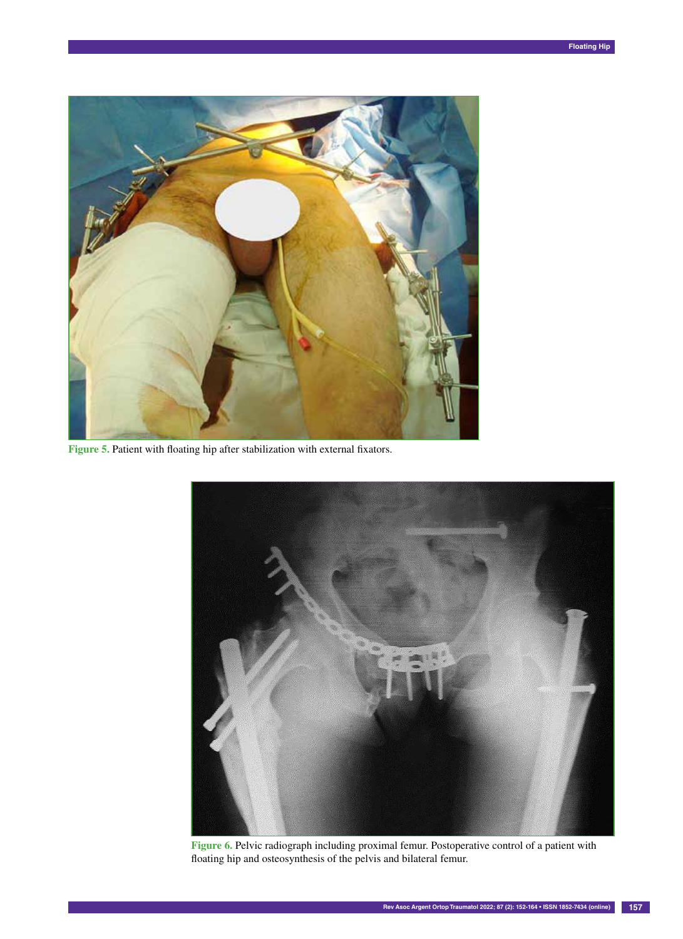

Figure 5. Patient with floating hip after stabilization with external fixators.



**Figure 6.** Pelvic radiograph including proximal femur. Postoperative control of a patient with floating hip and osteosynthesis of the pelvis and bilateral femur.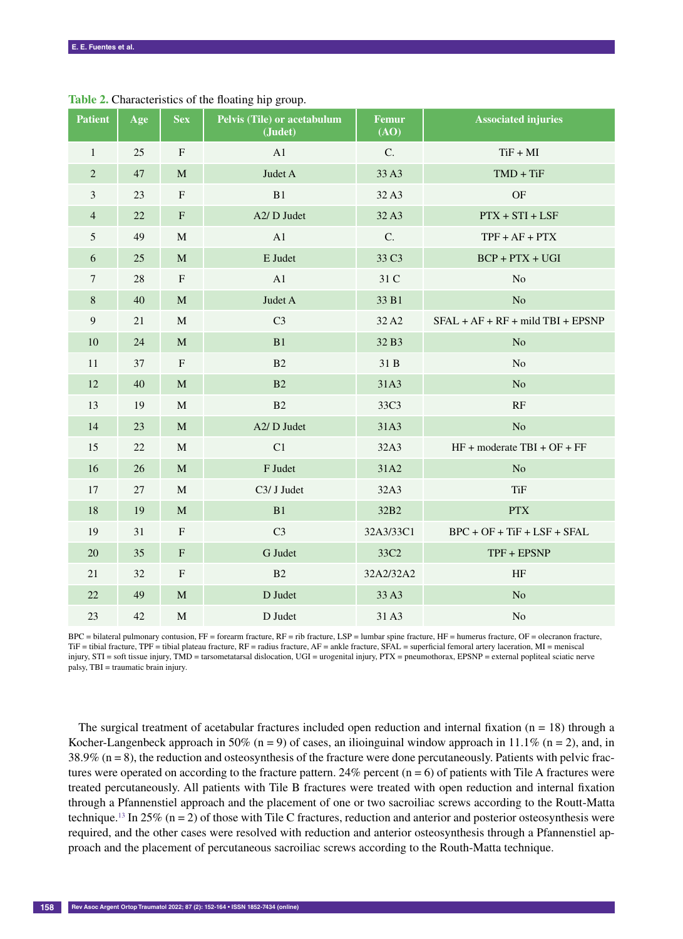| <b>Patient</b> | Age | <b>Sex</b>                | Pelvis (Tile) or acetabulum<br>(Judet) | <b>Femur</b><br>(AO) | <b>Associated injuries</b>          |
|----------------|-----|---------------------------|----------------------------------------|----------------------|-------------------------------------|
| $1\,$          | 25  | ${\bf F}$                 | A1                                     | C.                   | $TiF + MI$                          |
| $\overline{2}$ | 47  | $\mathbf M$               | Judet A                                | 33A3                 | $TMD + TiF$                         |
| $\mathfrak{Z}$ | 23  | ${\bf F}$                 | B1                                     | 32A3                 | OF                                  |
| $\overline{4}$ | 22  | ${\bf F}$                 | A2/ D Judet                            | 32A3                 | $PTX + STI + LSF$                   |
| $\mathfrak{H}$ | 49  | $\mathbf M$               | A1                                     | C.                   | $TPF + AF + PTX$                    |
| 6              | 25  | $\mathbf M$               | E Judet                                | 33 C <sub>3</sub>    | $BCP + PTX + UGI$                   |
| $\tau$         | 28  | ${\bf F}$                 | A1                                     | 31 C                 | No                                  |
| $\,8\,$        | 40  | $\mathbf{M}$              | Judet A                                | 33 B1                | No                                  |
| $\overline{9}$ | 21  | $\mathbf{M}$              | C <sub>3</sub>                         | 32 A2                | $SFAL + AF + RF + mild TBI + EPSNP$ |
| 10             | 24  | $\mathbf M$               | B1                                     | 32 B3                | N <sub>o</sub>                      |
| 11             | 37  | $\mathbf{F}$              | B <sub>2</sub>                         | 31 B                 | No                                  |
| 12             | 40  | $\mathbf{M}$              | B2                                     | 31A3                 | No                                  |
| 13             | 19  | $\mathbf{M}$              | B2                                     | 33C3                 | RF                                  |
| 14             | 23  | $\mathbf M$               | A2/ D Judet                            | 31A3                 | No                                  |
| 15             | 22  | $\mathbf{M}$              | C1                                     | 32A3                 | $HF + moderate TBI + OF + FF$       |
| 16             | 26  | $\mathbf{M}$              | F Judet                                | 31A2                 | N <sub>o</sub>                      |
| 17             | 27  | M                         | C3/ J Judet                            | 32A3                 | TiF                                 |
| 18             | 19  | $\mathbf M$               | B1                                     | 32B2                 | <b>PTX</b>                          |
| 19             | 31  | $\boldsymbol{\mathrm{F}}$ | C <sub>3</sub>                         | 32A3/33C1            | $BPC + OF + TIF + LSF + SFAL$       |
| 20             | 35  | $\boldsymbol{\mathrm{F}}$ | G Judet                                | 33C <sub>2</sub>     | TPF + EPSNP                         |
| 21             | 32  | $\boldsymbol{\mathrm{F}}$ | B2                                     | 32A2/32A2            | HF                                  |
| 22             | 49  | $\mathbf M$               | D Judet                                | 33A3                 | N <sub>o</sub>                      |
| $23\,$         | 42  | $\mathbf M$               | D Judet                                | 31 A3                | N <sub>o</sub>                      |

**Table 2.** Characteristics of the floating hip group.

BPC = bilateral pulmonary contusion, FF = forearm fracture, RF = rib fracture, LSP = lumbar spine fracture, HF = humerus fracture, OF = olecranon fracture, TiF = tibial fracture, TPF = tibial plateau fracture, RF = radius fracture, AF = ankle fracture, SFAL = superficial femoral artery laceration, MI = meniscal injury, STI = soft tissue injury, TMD = tarsometatarsal dislocation, UGI = urogenital injury, PTX = pneumothorax, EPSNP = external popliteal sciatic nerve palsy, TBI = traumatic brain injury.

The surgical treatment of acetabular fractures included open reduction and internal fixation ( $n = 18$ ) through a Kocher-Langenbeck approach in 50% (n = 9) of cases, an ilioinguinal window approach in 11.1% (n = 2), and, in  $38.9\%$  (n = 8), the reduction and osteosynthesis of the fracture were done percutaneously. Patients with pelvic fractures were operated on according to the fracture pattern. 24% percent  $(n = 6)$  of patients with Tile A fractures were treated percutaneously. All patients with Tile B fractures were treated with open reduction and internal fixation through a Pfannenstiel approach and the placement of one or two sacroiliac screws according to the Routt-Matta technique.<sup>13</sup> In 25% (n = 2) of those with Tile C fractures, reduction and anterior and posterior osteosynthesis were required, and the other cases were resolved with reduction and anterior osteosynthesis through a Pfannenstiel approach and the placement of percutaneous sacroiliac screws according to the Routh-Matta technique.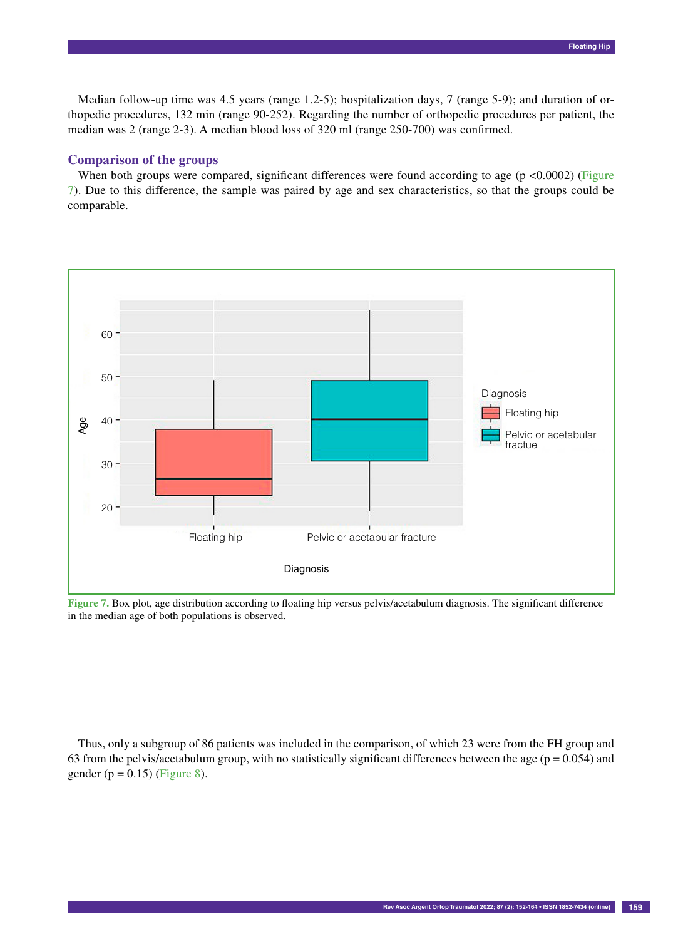Median follow-up time was 4.5 years (range 1.2-5); hospitalization days, 7 (range 5-9); and duration of orthopedic procedures, 132 min (range 90-252). Regarding the number of orthopedic procedures per patient, the median was 2 (range 2-3). A median blood loss of 320 ml (range 250-700) was confirmed.

## **Comparison of the groups**

When both groups were compared, significant differences were found according to age (p <0.0002) (Figure 7). Due to this difference, the sample was paired by age and sex characteristics, so that the groups could be comparable.



**Figure 7.** Box plot, age distribution according to floating hip versus pelvis/acetabulum diagnosis. The significant difference in the median age of both populations is observed.

Thus, only a subgroup of 86 patients was included in the comparison, of which 23 were from the FH group and 63 from the pelvis/acetabulum group, with no statistically significant differences between the age ( $p = 0.054$ ) and gender ( $p = 0.15$ ) (Figure 8).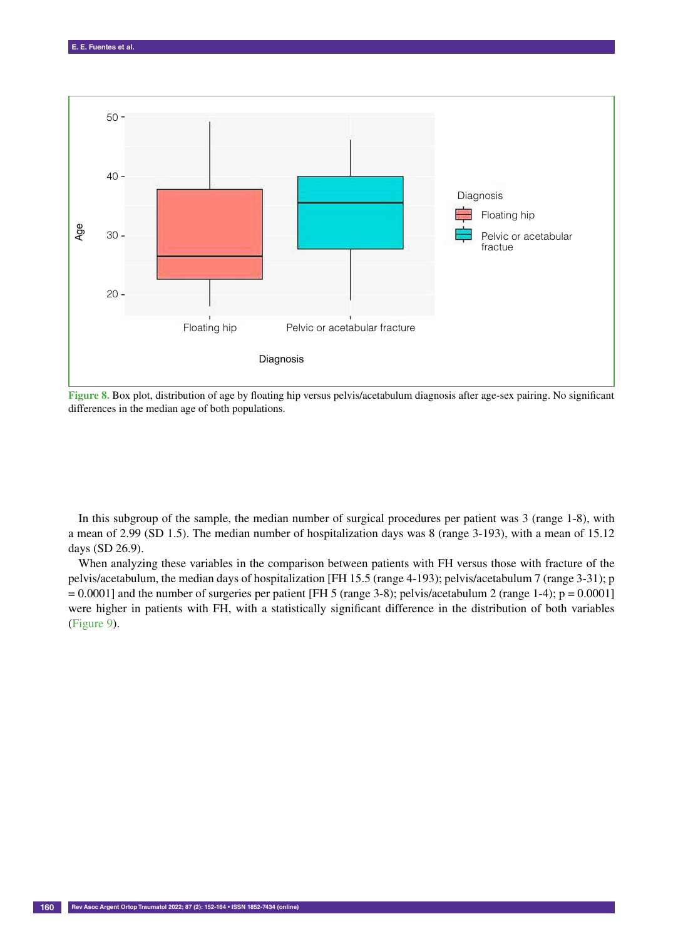

**Figure 8.** Box plot, distribution of age by floating hip versus pelvis/acetabulum diagnosis after age-sex pairing. No significant differences in the median age of both populations.

In this subgroup of the sample, the median number of surgical procedures per patient was 3 (range 1-8), with a mean of 2.99 (SD 1.5). The median number of hospitalization days was 8 (range 3-193), with a mean of 15.12 days (SD 26.9).

When analyzing these variables in the comparison between patients with FH versus those with fracture of the pelvis/acetabulum, the median days of hospitalization [FH 15.5 (range 4-193); pelvis/acetabulum 7 (range 3-31); p  $= 0.0001$ ] and the number of surgeries per patient [FH 5 (range 3-8); pelvis/acetabulum 2 (range 1-4); p = 0.0001] were higher in patients with FH, with a statistically significant difference in the distribution of both variables (Figure 9).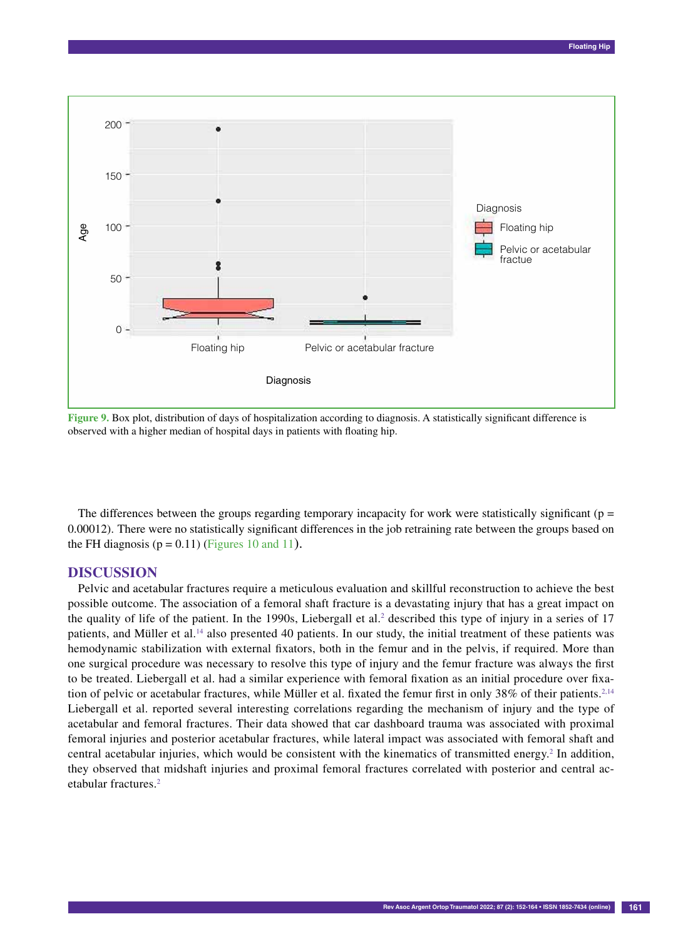

**Figure 9.** Box plot, distribution of days of hospitalization according to diagnosis. A statistically significant difference is observed with a higher median of hospital days in patients with floating hip.

The differences between the groups regarding temporary incapacity for work were statistically significant ( $p =$ 0.00012). There were no statistically significant differences in the job retraining rate between the groups based on the FH diagnosis ( $p = 0.11$ ) (Figures 10 and 11).

## **DISCUSSION**

Pelvic and acetabular fractures require a meticulous evaluation and skillful reconstruction to achieve the best possible outcome. The association of a femoral shaft fracture is a devastating injury that has a great impact on the quality of life of the patient. In the 1990s, Liebergall et al.<sup>2</sup> described this type of injury in a series of 17 patients, and Müller et al.<sup>14</sup> also presented 40 patients. In our study, the initial treatment of these patients was hemodynamic stabilization with external fixators, both in the femur and in the pelvis, if required. More than one surgical procedure was necessary to resolve this type of injury and the femur fracture was always the first to be treated. Liebergall et al. had a similar experience with femoral fixation as an initial procedure over fixation of pelvic or acetabular fractures, while Müller et al. fixated the femur first in only 38% of their patients.<sup>2,14</sup> Liebergall et al. reported several interesting correlations regarding the mechanism of injury and the type of acetabular and femoral fractures. Their data showed that car dashboard trauma was associated with proximal femoral injuries and posterior acetabular fractures, while lateral impact was associated with femoral shaft and central acetabular injuries, which would be consistent with the kinematics of transmitted energy.<sup>2</sup> In addition, they observed that midshaft injuries and proximal femoral fractures correlated with posterior and central acetabular fractures.<sup>2</sup>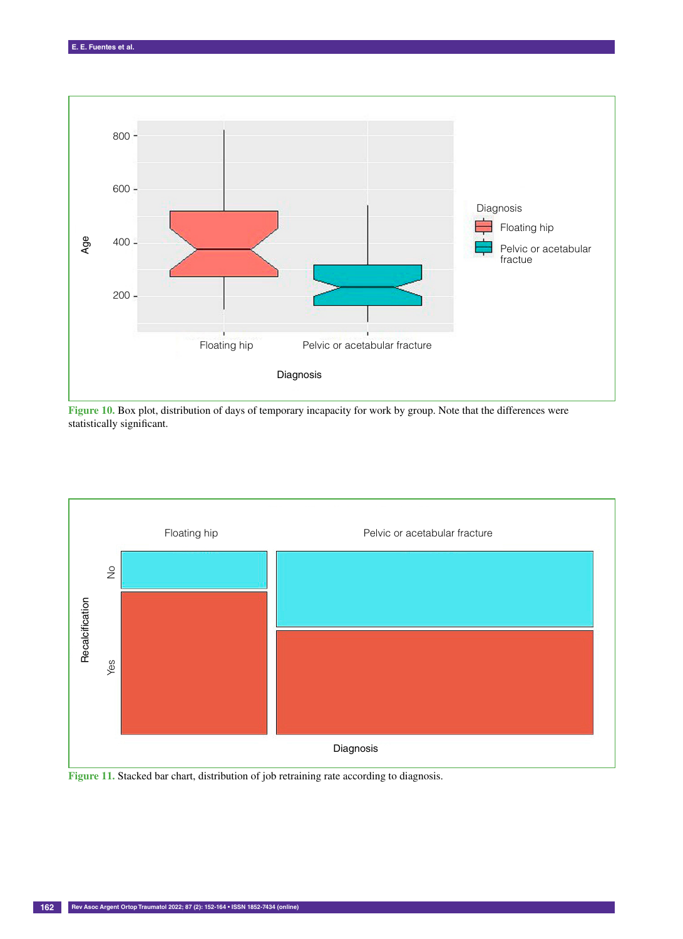

Figure 10. Box plot, distribution of days of temporary incapacity for work by group. Note that the differences were statistically significant.



**Figure 11.** Stacked bar chart, distribution of job retraining rate according to diagnosis.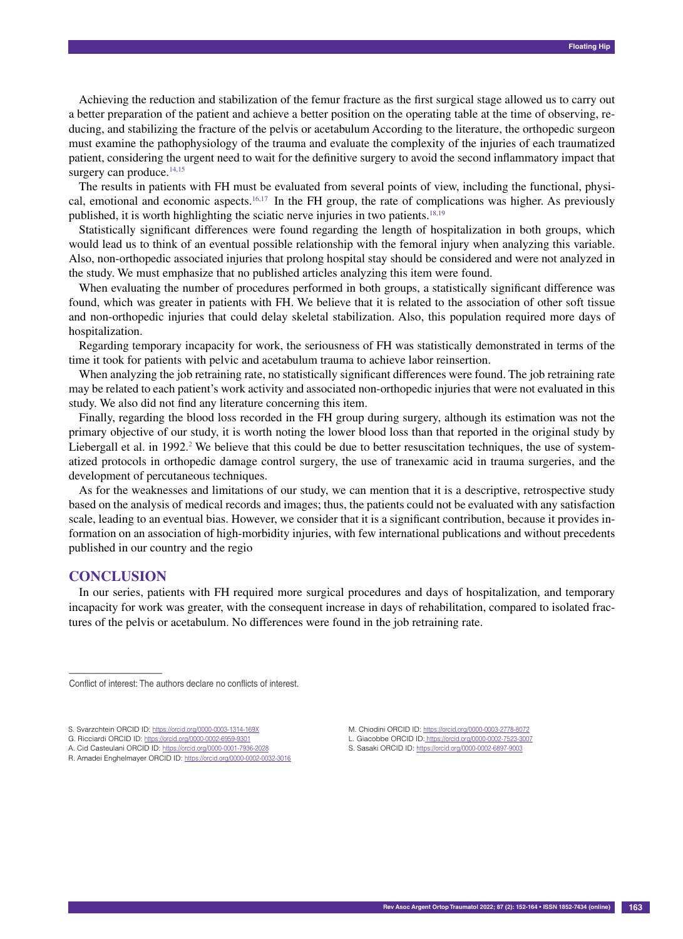Achieving the reduction and stabilization of the femur fracture as the first surgical stage allowed us to carry out a better preparation of the patient and achieve a better position on the operating table at the time of observing, reducing, and stabilizing the fracture of the pelvis or acetabulum According to the literature, the orthopedic surgeon must examine the pathophysiology of the trauma and evaluate the complexity of the injuries of each traumatized patient, considering the urgent need to wait for the definitive surgery to avoid the second inflammatory impact that surgery can produce.<sup>14,15</sup>

The results in patients with FH must be evaluated from several points of view, including the functional, physical, emotional and economic aspects.16,17 In the FH group, the rate of complications was higher. As previously published, it is worth highlighting the sciatic nerve injuries in two patients. $18,19$ 

Statistically significant differences were found regarding the length of hospitalization in both groups, which would lead us to think of an eventual possible relationship with the femoral injury when analyzing this variable. Also, non-orthopedic associated injuries that prolong hospital stay should be considered and were not analyzed in the study. We must emphasize that no published articles analyzing this item were found.

When evaluating the number of procedures performed in both groups, a statistically significant difference was found, which was greater in patients with FH. We believe that it is related to the association of other soft tissue and non-orthopedic injuries that could delay skeletal stabilization. Also, this population required more days of hospitalization.

Regarding temporary incapacity for work, the seriousness of FH was statistically demonstrated in terms of the time it took for patients with pelvic and acetabulum trauma to achieve labor reinsertion.

When analyzing the job retraining rate, no statistically significant differences were found. The job retraining rate may be related to each patient's work activity and associated non-orthopedic injuries that were not evaluated in this study. We also did not find any literature concerning this item.

Finally, regarding the blood loss recorded in the FH group during surgery, although its estimation was not the primary objective of our study, it is worth noting the lower blood loss than that reported in the original study by Liebergall et al. in 1992.<sup>2</sup> We believe that this could be due to better resuscitation techniques, the use of systematized protocols in orthopedic damage control surgery, the use of tranexamic acid in trauma surgeries, and the development of percutaneous techniques.

As for the weaknesses and limitations of our study, we can mention that it is a descriptive, retrospective study based on the analysis of medical records and images; thus, the patients could not be evaluated with any satisfaction scale, leading to an eventual bias. However, we consider that it is a significant contribution, because it provides information on an association of high-morbidity injuries, with few international publications and without precedents published in our country and the regio

# **CONCLUSION**

––––––––––––––––––

In our series, patients with FH required more surgical procedures and days of hospitalization, and temporary incapacity for work was greater, with the consequent increase in days of rehabilitation, compared to isolated fractures of the pelvis or acetabulum. No differences were found in the job retraining rate.

S. Sasaki ORCID ID: https://orcid.org/0000-0002-6897-9003

Conflict of interest: The authors declare no conflicts of interest.

S. Svarzchtein ORCID ID: https://orcid.org/0000-0003-1314-169X

G. Ricciardi ORCID ID: https://orcid.org/0000-0002-6959-9301

A. Cid Casteulani ORCID ID: https://orcid.org/0000-0001-7936-2028

R. Amadei Enghelmayer ORCID ID: https://orcid.org/0000-0002-0032-3016

M. Chiodini ORCID ID: https://orcid.org/0000-0003-2778-8072 L. Giacobbe ORCID ID: https://orcid.org/0000-0002-7523-3007